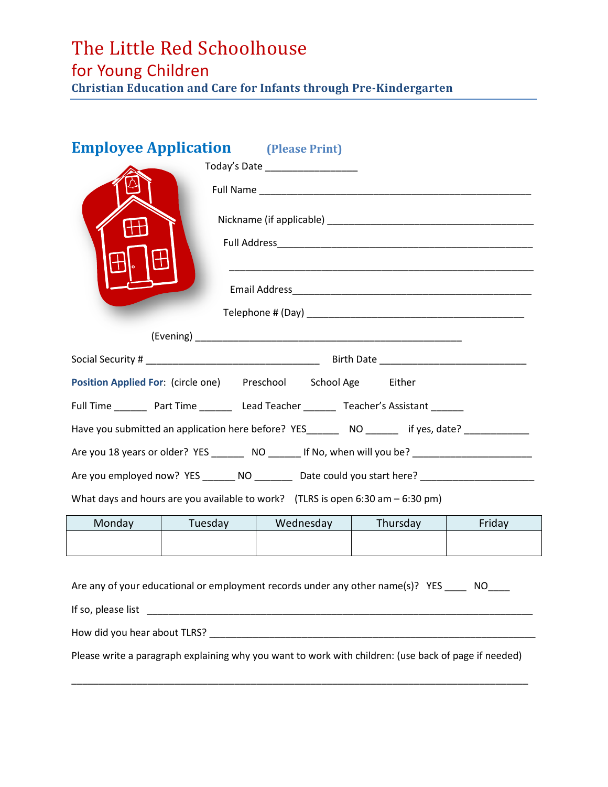# The Little Red Schoolhouse for Young Children

**Christian Education and Care for Infants through Pre-Kindergarten** 

# **Employee Application** (Please Print)

| Today's Date _____________________                                                                  |         |                                                                |          |        |
|-----------------------------------------------------------------------------------------------------|---------|----------------------------------------------------------------|----------|--------|
|                                                                                                     |         |                                                                |          |        |
|                                                                                                     |         |                                                                |          |        |
|                                                                                                     |         |                                                                |          |        |
|                                                                                                     |         |                                                                |          |        |
|                                                                                                     |         |                                                                |          |        |
|                                                                                                     |         |                                                                |          |        |
|                                                                                                     |         |                                                                |          |        |
|                                                                                                     |         |                                                                |          |        |
|                                                                                                     |         | Position Applied For: (circle one) Preschool School Age Either |          |        |
| Full Time _________ Part Time ___________ Lead Teacher __________ Teacher's Assistant _______       |         |                                                                |          |        |
| Have you submitted an application here before? YES_________ NO ________ if yes, date? ____________  |         |                                                                |          |        |
| Are you 18 years or older? YES _________ NO _______ If No, when will you be? ______________________ |         |                                                                |          |        |
| Are you employed now? YES _______ NO _________ Date could you start here? _________________________ |         |                                                                |          |        |
| What days and hours are you available to work? (TLRS is open 6:30 am $-$ 6:30 pm)                   |         |                                                                |          |        |
| Monday                                                                                              | Tuesday | Wednesday                                                      | Thursday | Friday |
|                                                                                                     |         |                                                                |          |        |
|                                                                                                     |         |                                                                |          |        |
| Are any of your educational or employment records under any other name(s)? YES ____ NO___           |         |                                                                |          |        |
|                                                                                                     |         |                                                                |          |        |
| How did you hear about TLRS?                                                                        |         |                                                                |          |        |

Please write a paragraph explaining why you want to work with children: (use back of page if needed)

\_\_\_\_\_\_\_\_\_\_\_\_\_\_\_\_\_\_\_\_\_\_\_\_\_\_\_\_\_\_\_\_\_\_\_\_\_\_\_\_\_\_\_\_\_\_\_\_\_\_\_\_\_\_\_\_\_\_\_\_\_\_\_\_\_\_\_\_\_\_\_\_\_\_\_\_\_\_\_\_\_\_\_\_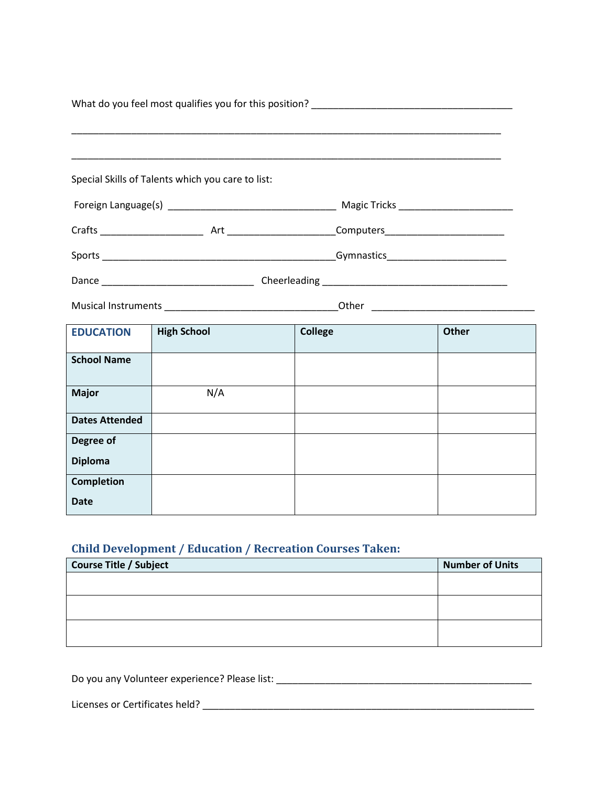| What do you feel most qualifies you for this position? The manufacturer of the control of the control of the control of the control of the control of the control of the control of the control of the control of the control |                                                   |                |              |
|-------------------------------------------------------------------------------------------------------------------------------------------------------------------------------------------------------------------------------|---------------------------------------------------|----------------|--------------|
|                                                                                                                                                                                                                               |                                                   |                |              |
|                                                                                                                                                                                                                               | Special Skills of Talents which you care to list: |                |              |
|                                                                                                                                                                                                                               |                                                   |                |              |
|                                                                                                                                                                                                                               |                                                   |                |              |
|                                                                                                                                                                                                                               |                                                   |                |              |
|                                                                                                                                                                                                                               |                                                   |                |              |
|                                                                                                                                                                                                                               |                                                   |                |              |
| <b>EDUCATION</b>                                                                                                                                                                                                              | <b>High School</b>                                | <b>College</b> | <b>Other</b> |
| <b>School Name</b>                                                                                                                                                                                                            |                                                   |                |              |
| <b>Major</b>                                                                                                                                                                                                                  | N/A                                               |                |              |
| <b>Dates Attended</b>                                                                                                                                                                                                         |                                                   |                |              |
| Degree of                                                                                                                                                                                                                     |                                                   |                |              |
| <b>Diploma</b>                                                                                                                                                                                                                |                                                   |                |              |
| <b>Completion</b>                                                                                                                                                                                                             |                                                   |                |              |
| <b>Date</b>                                                                                                                                                                                                                   |                                                   |                |              |

## **Child Development / Education / Recreation Courses Taken:**

| Course Title / Subject | <b>Number of Units</b> |
|------------------------|------------------------|
|                        |                        |
|                        |                        |
|                        |                        |
|                        |                        |
|                        |                        |
|                        |                        |

Do you any Volunteer experience? Please list: \_\_\_\_\_\_\_\_\_\_\_\_\_\_\_\_\_\_\_\_\_\_\_\_\_\_\_\_\_\_\_\_\_\_\_\_\_\_\_\_\_\_\_\_\_\_\_

Licenses or Certificates held? \_\_\_\_\_\_\_\_\_\_\_\_\_\_\_\_\_\_\_\_\_\_\_\_\_\_\_\_\_\_\_\_\_\_\_\_\_\_\_\_\_\_\_\_\_\_\_\_\_\_\_\_\_\_\_\_\_\_\_\_\_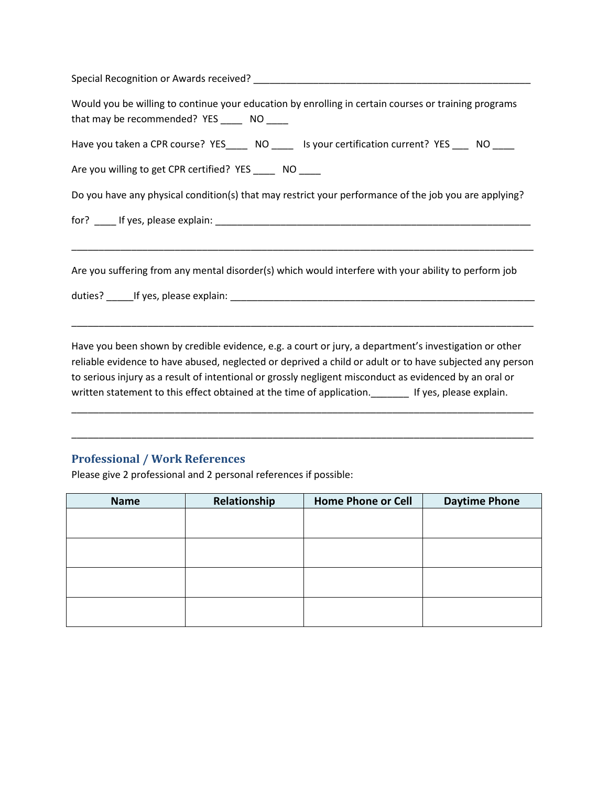| Special Recognition or Awards received? Cambridge Contractor Control Control Control Control Control Control C                                       |
|------------------------------------------------------------------------------------------------------------------------------------------------------|
| Would you be willing to continue your education by enrolling in certain courses or training programs<br>that may be recommended? YES ______ NO _____ |
| Have you taken a CPR course? YES______ NO ______ Is your certification current? YES ____ NO _____                                                    |
| Are you willing to get CPR certified? YES ______ NO                                                                                                  |
| Do you have any physical condition(s) that may restrict your performance of the job you are applying?                                                |
|                                                                                                                                                      |
|                                                                                                                                                      |
| Are you suffering from any mental disorder(s) which would interfere with your ability to perform job                                                 |

duties? \_\_\_\_\_If yes, please explain: \_\_\_\_\_\_\_\_\_\_\_\_\_\_\_\_\_\_\_\_\_\_\_\_\_\_\_\_\_\_\_\_\_\_\_\_\_\_\_\_\_\_\_\_\_\_\_\_\_\_\_\_\_\_\_\_

Have you been shown by credible evidence, e.g. a court or jury, a department's investigation or other reliable evidence to have abused, neglected or deprived a child or adult or to have subjected any person to serious injury as a result of intentional or grossly negligent misconduct as evidenced by an oral or written statement to this effect obtained at the time of application. Figures, please explain.

\_\_\_\_\_\_\_\_\_\_\_\_\_\_\_\_\_\_\_\_\_\_\_\_\_\_\_\_\_\_\_\_\_\_\_\_\_\_\_\_\_\_\_\_\_\_\_\_\_\_\_\_\_\_\_\_\_\_\_\_\_\_\_\_\_\_\_\_\_\_\_\_\_\_\_\_\_\_\_\_\_\_\_\_\_

\_\_\_\_\_\_\_\_\_\_\_\_\_\_\_\_\_\_\_\_\_\_\_\_\_\_\_\_\_\_\_\_\_\_\_\_\_\_\_\_\_\_\_\_\_\_\_\_\_\_\_\_\_\_\_\_\_\_\_\_\_\_\_\_\_\_\_\_\_\_\_\_\_\_\_\_\_\_\_\_\_\_\_\_\_

\_\_\_\_\_\_\_\_\_\_\_\_\_\_\_\_\_\_\_\_\_\_\_\_\_\_\_\_\_\_\_\_\_\_\_\_\_\_\_\_\_\_\_\_\_\_\_\_\_\_\_\_\_\_\_\_\_\_\_\_\_\_\_\_\_\_\_\_\_\_\_\_\_\_\_\_\_\_\_\_\_\_\_\_\_

### **Professional / Work References**

Please give 2 professional and 2 personal references if possible:

| <b>Name</b> | Relationship | <b>Home Phone or Cell</b> | <b>Daytime Phone</b> |
|-------------|--------------|---------------------------|----------------------|
|             |              |                           |                      |
|             |              |                           |                      |
|             |              |                           |                      |
|             |              |                           |                      |
|             |              |                           |                      |
|             |              |                           |                      |
|             |              |                           |                      |
|             |              |                           |                      |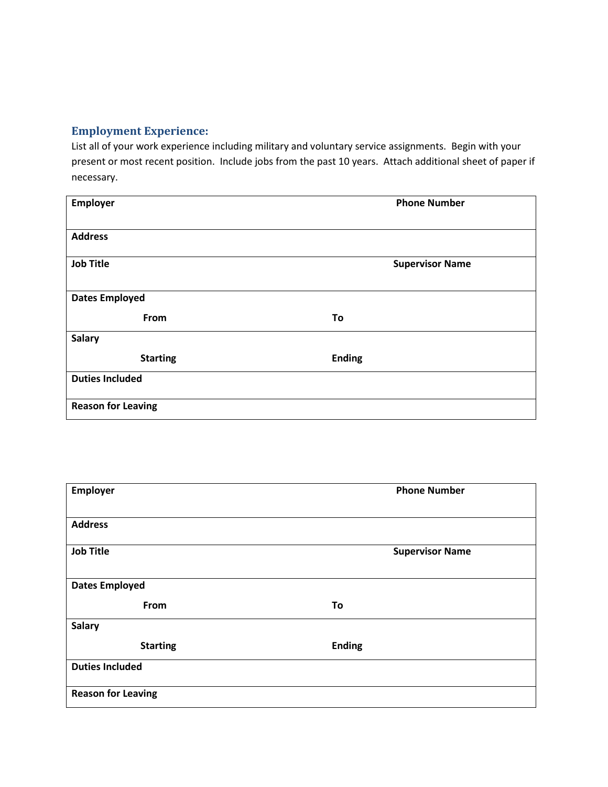#### **Employment Experience:**

List all of your work experience including military and voluntary service assignments. Begin with your present or most recent position. Include jobs from the past 10 years. Attach additional sheet of paper if necessary.

| Employer                  | <b>Phone Number</b>    |
|---------------------------|------------------------|
| <b>Address</b>            |                        |
| <b>Job Title</b>          | <b>Supervisor Name</b> |
| <b>Dates Employed</b>     |                        |
| From                      | To                     |
| <b>Salary</b>             |                        |
| <b>Starting</b>           | <b>Ending</b>          |
| <b>Duties Included</b>    |                        |
| <b>Reason for Leaving</b> |                        |

| Employer                  | <b>Phone Number</b>    |
|---------------------------|------------------------|
| <b>Address</b>            |                        |
| <b>Job Title</b>          | <b>Supervisor Name</b> |
| <b>Dates Employed</b>     |                        |
| From                      | To                     |
| <b>Salary</b>             |                        |
| <b>Starting</b>           | <b>Ending</b>          |
| <b>Duties Included</b>    |                        |
| <b>Reason for Leaving</b> |                        |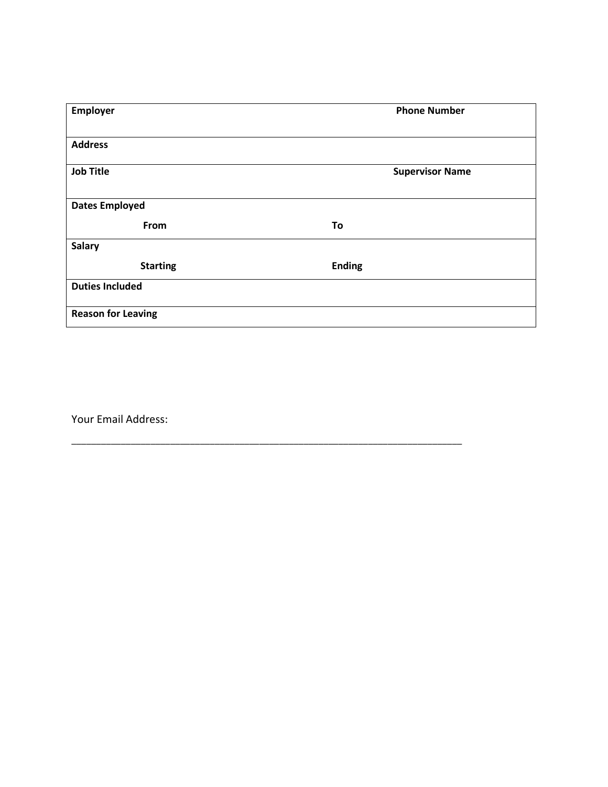| Employer                  | <b>Phone Number</b>    |
|---------------------------|------------------------|
|                           |                        |
| <b>Address</b>            |                        |
| <b>Job Title</b>          | <b>Supervisor Name</b> |
| <b>Dates Employed</b>     |                        |
| From                      | To                     |
| <b>Salary</b>             |                        |
| <b>Starting</b>           | <b>Ending</b>          |
| <b>Duties Included</b>    |                        |
| <b>Reason for Leaving</b> |                        |

\_\_\_\_\_\_\_\_\_\_\_\_\_\_\_\_\_\_\_\_\_\_\_\_\_\_\_\_\_\_\_\_\_\_\_\_\_\_\_\_\_\_\_\_\_\_\_\_\_\_\_\_\_\_\_\_\_\_\_\_\_\_\_\_\_\_\_\_\_\_\_\_\_\_\_\_\_\_\_

Your Email Address: